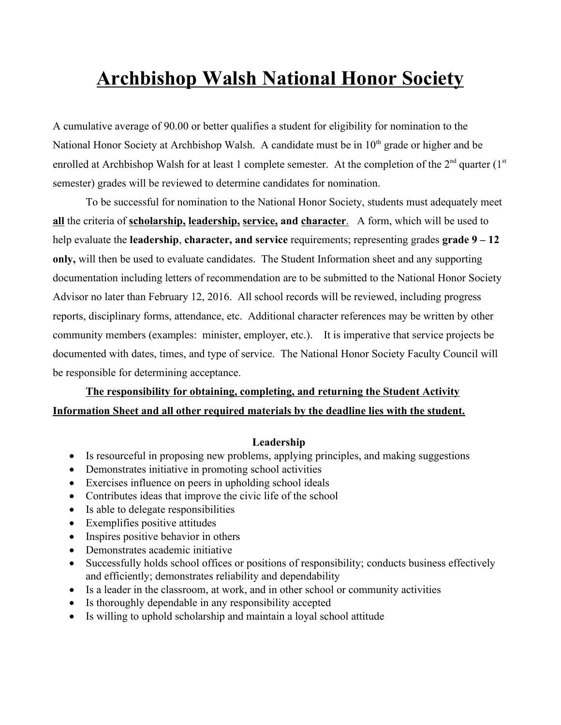# **Archbishop Walsh National Honor Society**

A cumulative average of 90.00 or better qualifies a student for eligibility for nomination to the National Honor Society at Archbishop Walsh. A candidate must be in 10<sup>th</sup> grade or higher and be enrolled at Archbishop Walsh for at least 1 complete semester. At the completion of the  $2<sup>nd</sup>$  quarter  $(1<sup>st</sup>$ semester) grades will be reviewed to determine candidates for nomination.

To be successful for nomination to the National Honor Society, students must adequately meet **all** the criteria of **scholarship, leadership, service, and character**. A form, which will be used to help evaluate the **leadership**, **character, and service** requirements; representing grades **grade 9 – 12 only,** will then be used to evaluate candidates. The Student Information sheet and any supporting documentation including letters of recommendation are to be submitted to the National Honor Society Advisor no later than February 12, 2016. All school records will be reviewed, including progress reports, disciplinary forms, attendance, etc. Additional character references may be written by other community members (examples: minister, employer, etc.). It is imperative that service projects be documented with dates, times, and type of service. The National Honor Society Faculty Council will be responsible for determining acceptance.

# **The responsibility for obtaining, completing, and returning the Student Activity Information Sheet and all other required materials by the deadline lies with the student.**

#### **Leadership**

- Is resourceful in proposing new problems, applying principles, and making suggestions
- Demonstrates initiative in promoting school activities
- Exercises influence on peers in upholding school ideals
- Contributes ideas that improve the civic life of the school
- Is able to delegate responsibilities
- Exemplifies positive attitudes
- Inspires positive behavior in others
- Demonstrates academic initiative
- Successfully holds school offices or positions of responsibility; conducts business effectively and efficiently; demonstrates reliability and dependability
- Is a leader in the classroom, at work, and in other school or community activities
- Is thoroughly dependable in any responsibility accepted
- Is willing to uphold scholarship and maintain a loyal school attitude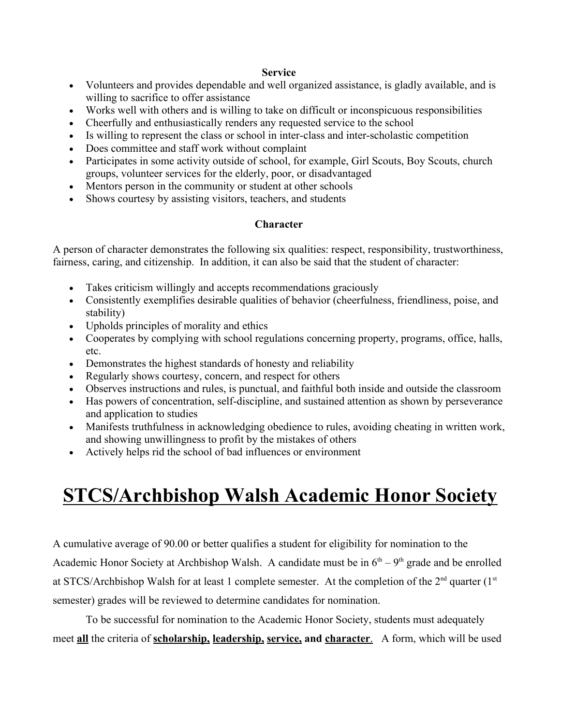### **Service**

- Volunteers and provides dependable and well organized assistance, is gladly available, and is willing to sacrifice to offer assistance
- Works well with others and is willing to take on difficult or inconspicuous responsibilities
- Cheerfully and enthusiastically renders any requested service to the school
- Is willing to represent the class or school in inter-class and inter-scholastic competition
- Does committee and staff work without complaint
- Participates in some activity outside of school, for example, Girl Scouts, Boy Scouts, church groups, volunteer services for the elderly, poor, or disadvantaged
- Mentors person in the community or student at other schools
- Shows courtesy by assisting visitors, teachers, and students

## **Character**

A person of character demonstrates the following six qualities: respect, responsibility, trustworthiness, fairness, caring, and citizenship. In addition, it can also be said that the student of character:

- Takes criticism willingly and accepts recommendations graciously
- Consistently exemplifies desirable qualities of behavior (cheerfulness, friendliness, poise, and stability)
- Upholds principles of morality and ethics
- Cooperates by complying with school regulations concerning property, programs, office, halls, etc.
- Demonstrates the highest standards of honesty and reliability
- Regularly shows courtesy, concern, and respect for others
- Observes instructions and rules, is punctual, and faithful both inside and outside the classroom
- Has powers of concentration, self-discipline, and sustained attention as shown by perseverance and application to studies
- Manifests truthfulness in acknowledging obedience to rules, avoiding cheating in written work, and showing unwillingness to profit by the mistakes of others
- Actively helps rid the school of bad influences or environment

# **STCS/Archbishop Walsh Academic Honor Society**

A cumulative average of 90.00 or better qualifies a student for eligibility for nomination to the Academic Honor Society at Archbishop Walsh. A candidate must be in  $6<sup>th</sup> - 9<sup>th</sup>$  grade and be enrolled at STCS/Archbishop Walsh for at least 1 complete semester. At the completion of the  $2<sup>nd</sup>$  quarter  $(1<sup>st</sup>$ semester) grades will be reviewed to determine candidates for nomination.

To be successful for nomination to the Academic Honor Society, students must adequately meet **all** the criteria of **scholarship, leadership, service, and character**. A form, which will be used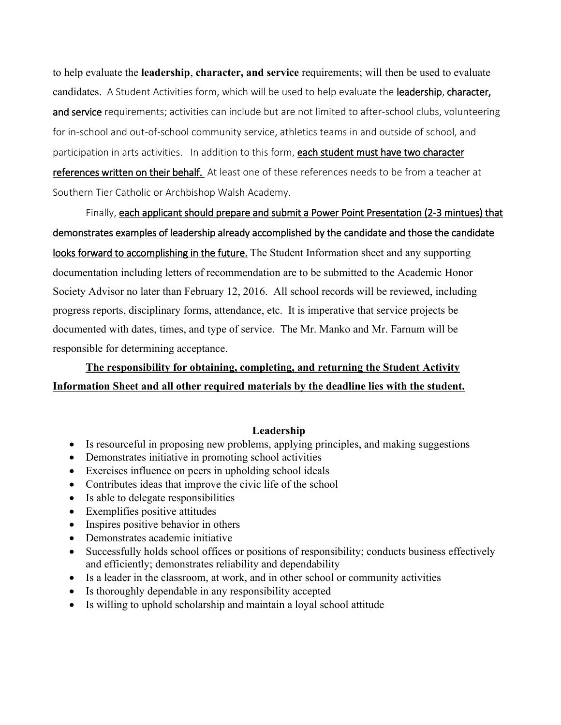to help evaluate the **leadership**, **character, and service** requirements; will then be used to evaluate candidates. A Student Activities form, which will be used to help evaluate the leadership, character, and service requirements; activities can include but are not limited to after-school clubs, volunteering for in-school and out-of-school community service, athletics teams in and outside of school, and participation in arts activities. In addition to this form, each student must have two character references written on their behalf. At least one of these references needs to be from a teacher at Southern Tier Catholic or Archbishop Walsh Academy.

Finally, each applicant should prepare and submit a Power Point Presentation (2-3 mintues) that demonstrates examples of leadership already accomplished by the candidate and those the candidate looks forward to accomplishing in the future. The Student Information sheet and any supporting documentation including letters of recommendation are to be submitted to the Academic Honor Society Advisor no later than February 12, 2016. All school records will be reviewed, including progress reports, disciplinary forms, attendance, etc. It is imperative that service projects be documented with dates, times, and type of service. The Mr. Manko and Mr. Farnum will be responsible for determining acceptance.

# **The responsibility for obtaining, completing, and returning the Student Activity Information Sheet and all other required materials by the deadline lies with the student.**

#### **Leadership**

- Is resourceful in proposing new problems, applying principles, and making suggestions
- Demonstrates initiative in promoting school activities
- Exercises influence on peers in upholding school ideals
- Contributes ideas that improve the civic life of the school
- Is able to delegate responsibilities
- Exemplifies positive attitudes
- Inspires positive behavior in others
- Demonstrates academic initiative
- Successfully holds school offices or positions of responsibility; conducts business effectively and efficiently; demonstrates reliability and dependability
- Is a leader in the classroom, at work, and in other school or community activities
- Is thoroughly dependable in any responsibility accepted
- Is willing to uphold scholarship and maintain a loyal school attitude